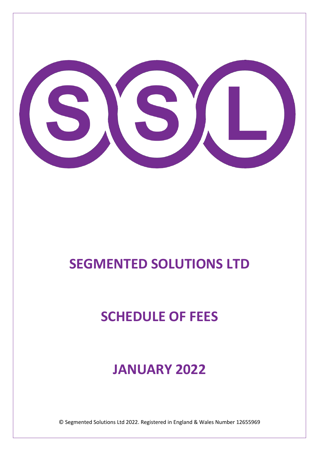

# **SEGMENTED SOLUTIONS LTD**

# **SCHEDULE OF FEES**

## **JANUARY 2022**

© Segmented Solutions Ltd 2022. Registered in England & Wales Number 12655969